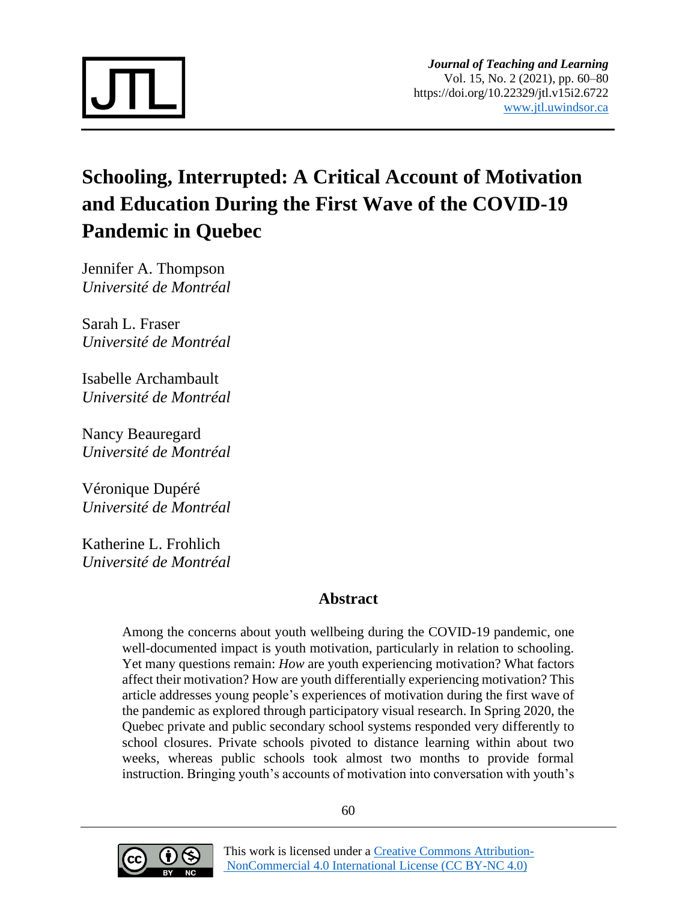

# **Schooling, Interrupted: A Critical Account of Motivation and Education During the First Wave of the COVID-19 Pandemic in Quebec**

Jennifer A. Thompson *Université de Montréal*

Sarah L. Fraser *Université de Montréal*

Isabelle Archambault *Université de Montréal*

Nancy Beauregard *Université de Montréal*

Véronique Dupéré *Université de Montréal*

Katherine L. Frohlich *Université de Montréal*

# **Abstract**

Among the concerns about youth wellbeing during the COVID-19 pandemic, one well-documented impact is youth motivation, particularly in relation to schooling. Yet many questions remain: *How* are youth experiencing motivation? What factors affect their motivation? How are youth differentially experiencing motivation? This article addresses young people's experiences of motivation during the first wave of the pandemic as explored through participatory visual research. In Spring 2020, the Quebec private and public secondary school systems responded very differently to school closures. Private schools pivoted to distance learning within about two weeks, whereas public schools took almost two months to provide formal instruction. Bringing youth's accounts of motivation into conversation with youth's

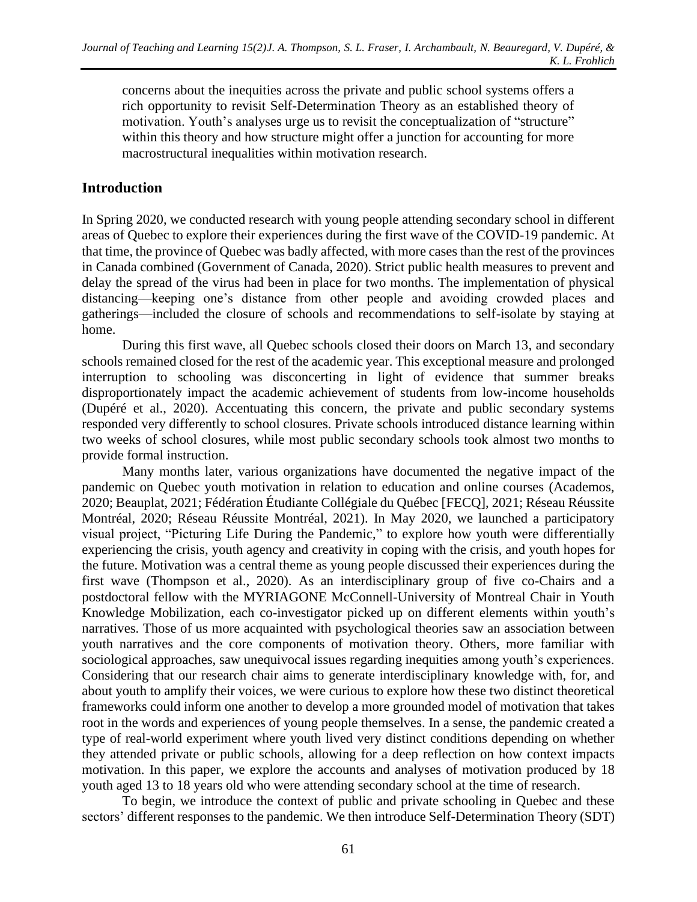concerns about the inequities across the private and public school systems offers a rich opportunity to revisit Self-Determination Theory as an established theory of motivation. Youth's analyses urge us to revisit the conceptualization of "structure" within this theory and how structure might offer a junction for accounting for more macrostructural inequalities within motivation research.

# **Introduction**

In Spring 2020, we conducted research with young people attending secondary school in different areas of Quebec to explore their experiences during the first wave of the COVID-19 pandemic. At that time, the province of Quebec was badly affected, with more cases than the rest of the provinces in Canada combined (Government of Canada, 2020). Strict public health measures to prevent and delay the spread of the virus had been in place for two months. The implementation of physical distancing—keeping one's distance from other people and avoiding crowded places and gatherings—included the closure of schools and recommendations to self-isolate by staying at home.

During this first wave, all Quebec schools closed their doors on March 13, and secondary schools remained closed for the rest of the academic year. This exceptional measure and prolonged interruption to schooling was disconcerting in light of evidence that summer breaks disproportionately impact the academic achievement of students from low-income households (Dupéré et al., 2020). Accentuating this concern, the private and public secondary systems responded very differently to school closures. Private schools introduced distance learning within two weeks of school closures, while most public secondary schools took almost two months to provide formal instruction.

Many months later, various organizations have documented the negative impact of the pandemic on Quebec youth motivation in relation to education and online courses (Academos, 2020; Beauplat, 2021; Fédération Étudiante Collégiale du Québec [FECQ], 2021; Réseau Réussite Montréal, 2020; Réseau Réussite Montréal, 2021). In May 2020, we launched a participatory visual project, "Picturing Life During the Pandemic," to explore how youth were differentially experiencing the crisis, youth agency and creativity in coping with the crisis, and youth hopes for the future. Motivation was a central theme as young people discussed their experiences during the first wave (Thompson et al., 2020). As an interdisciplinary group of five co-Chairs and a postdoctoral fellow with the MYRIAGONE McConnell-University of Montreal Chair in Youth Knowledge Mobilization, each co-investigator picked up on different elements within youth's narratives. Those of us more acquainted with psychological theories saw an association between youth narratives and the core components of motivation theory. Others, more familiar with sociological approaches, saw unequivocal issues regarding inequities among youth's experiences. Considering that our research chair aims to generate interdisciplinary knowledge with, for, and about youth to amplify their voices, we were curious to explore how these two distinct theoretical frameworks could inform one another to develop a more grounded model of motivation that takes root in the words and experiences of young people themselves. In a sense, the pandemic created a type of real-world experiment where youth lived very distinct conditions depending on whether they attended private or public schools, allowing for a deep reflection on how context impacts motivation. In this paper, we explore the accounts and analyses of motivation produced by 18 youth aged 13 to 18 years old who were attending secondary school at the time of research.

To begin, we introduce the context of public and private schooling in Quebec and these sectors' different responses to the pandemic. We then introduce Self-Determination Theory (SDT)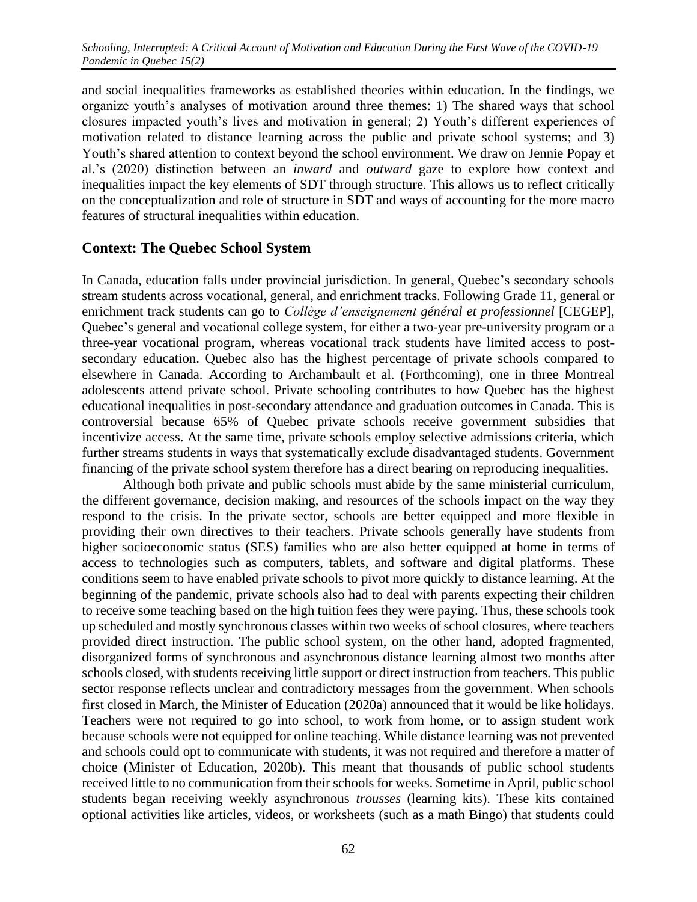and social inequalities frameworks as established theories within education. In the findings, we organize youth's analyses of motivation around three themes: 1) The shared ways that school closures impacted youth's lives and motivation in general; 2) Youth's different experiences of motivation related to distance learning across the public and private school systems; and 3) Youth's shared attention to context beyond the school environment. We draw on Jennie Popay et al.'s (2020) distinction between an *inward* and *outward* gaze to explore how context and inequalities impact the key elements of SDT through structure. This allows us to reflect critically on the conceptualization and role of structure in SDT and ways of accounting for the more macro features of structural inequalities within education.

# **Context: The Quebec School System**

In Canada, education falls under provincial jurisdiction. In general, Quebec's secondary schools stream students across vocational, general, and enrichment tracks. Following Grade 11, general or enrichment track students can go to *Collège d'enseignement général et professionnel* [CEGEP], Quebec's general and vocational college system, for either a two-year pre-university program or a three-year vocational program, whereas vocational track students have limited access to postsecondary education. Quebec also has the highest percentage of private schools compared to elsewhere in Canada. According to Archambault et al. (Forthcoming), one in three Montreal adolescents attend private school. Private schooling contributes to how Quebec has the highest educational inequalities in post-secondary attendance and graduation outcomes in Canada. This is controversial because 65% of Quebec private schools receive government subsidies that incentivize access. At the same time, private schools employ selective admissions criteria, which further streams students in ways that systematically exclude disadvantaged students. Government financing of the private school system therefore has a direct bearing on reproducing inequalities.

Although both private and public schools must abide by the same ministerial curriculum, the different governance, decision making, and resources of the schools impact on the way they respond to the crisis. In the private sector, schools are better equipped and more flexible in providing their own directives to their teachers. Private schools generally have students from higher socioeconomic status (SES) families who are also better equipped at home in terms of access to technologies such as computers, tablets, and software and digital platforms. These conditions seem to have enabled private schools to pivot more quickly to distance learning. At the beginning of the pandemic, private schools also had to deal with parents expecting their children to receive some teaching based on the high tuition fees they were paying. Thus, these schools took up scheduled and mostly synchronous classes within two weeks of school closures, where teachers provided direct instruction. The public school system, on the other hand, adopted fragmented, disorganized forms of synchronous and asynchronous distance learning almost two months after schools closed, with students receiving little support or direct instruction from teachers. This public sector response reflects unclear and contradictory messages from the government. When schools first closed in March, the Minister of Education (2020a) announced that it would be like holidays. Teachers were not required to go into school, to work from home, or to assign student work because schools were not equipped for online teaching. While distance learning was not prevented and schools could opt to communicate with students, it was not required and therefore a matter of choice (Minister of Education, 2020b). This meant that thousands of public school students received little to no communication from their schools for weeks. Sometime in April, public school students began receiving weekly asynchronous *trousses* (learning kits). These kits contained optional activities like articles, videos, or worksheets (such as a math Bingo) that students could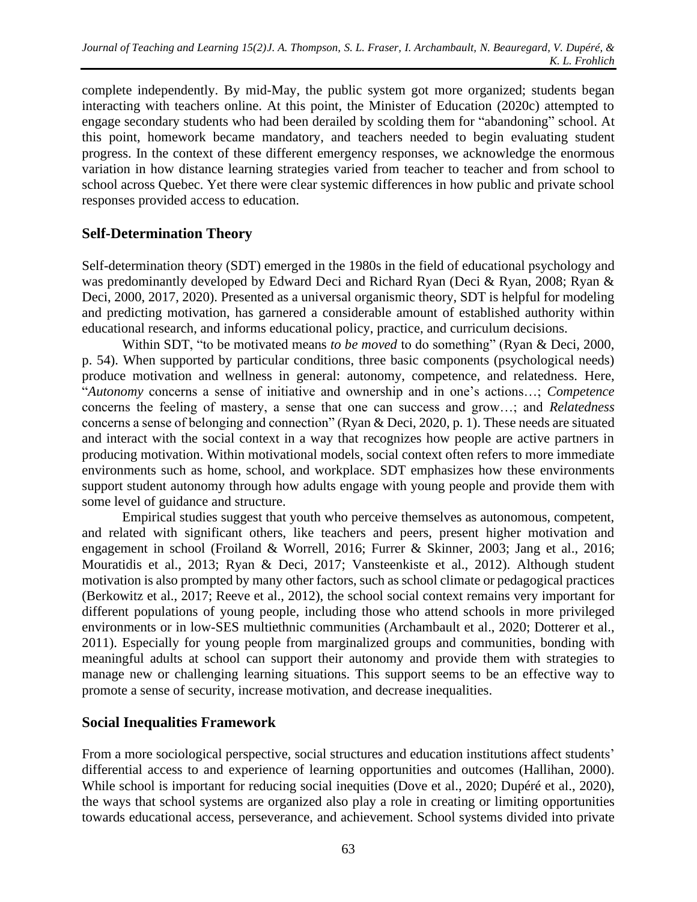complete independently. By mid-May, the public system got more organized; students began interacting with teachers online. At this point, the Minister of Education (2020c) attempted to engage secondary students who had been derailed by scolding them for "abandoning" school. At this point, homework became mandatory, and teachers needed to begin evaluating student progress. In the context of these different emergency responses, we acknowledge the enormous variation in how distance learning strategies varied from teacher to teacher and from school to school across Quebec. Yet there were clear systemic differences in how public and private school responses provided access to education.

# **Self-Determination Theory**

Self-determination theory (SDT) emerged in the 1980s in the field of educational psychology and was predominantly developed by Edward Deci and Richard Ryan (Deci & Ryan, 2008; Ryan & Deci, 2000, 2017, 2020). Presented as a universal organismic theory, SDT is helpful for modeling and predicting motivation, has garnered a considerable amount of established authority within educational research, and informs educational policy, practice, and curriculum decisions.

Within SDT, "to be motivated means *to be moved* to do something" (Ryan & Deci, 2000, p. 54). When supported by particular conditions, three basic components (psychological needs) produce motivation and wellness in general: autonomy, competence, and relatedness. Here, "*Autonomy* concerns a sense of initiative and ownership and in one's actions…; *Competence* concerns the feeling of mastery, a sense that one can success and grow…; and *Relatedness* concerns a sense of belonging and connection" (Ryan & Deci, 2020, p. 1). These needs are situated and interact with the social context in a way that recognizes how people are active partners in producing motivation. Within motivational models, social context often refers to more immediate environments such as home, school, and workplace. SDT emphasizes how these environments support student autonomy through how adults engage with young people and provide them with some level of guidance and structure.

Empirical studies suggest that youth who perceive themselves as autonomous, competent, and related with significant others, like teachers and peers, present higher motivation and engagement in school (Froiland & Worrell, 2016; Furrer & Skinner, 2003; Jang et al., 2016; Mouratidis et al., 2013; Ryan & Deci, 2017; Vansteenkiste et al., 2012). Although student motivation is also prompted by many other factors, such as school climate or pedagogical practices (Berkowitz et al., 2017; Reeve et al., 2012), the school social context remains very important for different populations of young people, including those who attend schools in more privileged environments or in low-SES multiethnic communities (Archambault et al., 2020; Dotterer et al., 2011). Especially for young people from marginalized groups and communities, bonding with meaningful adults at school can support their autonomy and provide them with strategies to manage new or challenging learning situations. This support seems to be an effective way to promote a sense of security, increase motivation, and decrease inequalities.

## **Social Inequalities Framework**

From a more sociological perspective, social structures and education institutions affect students' differential access to and experience of learning opportunities and outcomes (Hallihan, 2000). While school is important for reducing social inequities (Dove et al., 2020; Dupéré et al., 2020), the ways that school systems are organized also play a role in creating or limiting opportunities towards educational access, perseverance, and achievement. School systems divided into private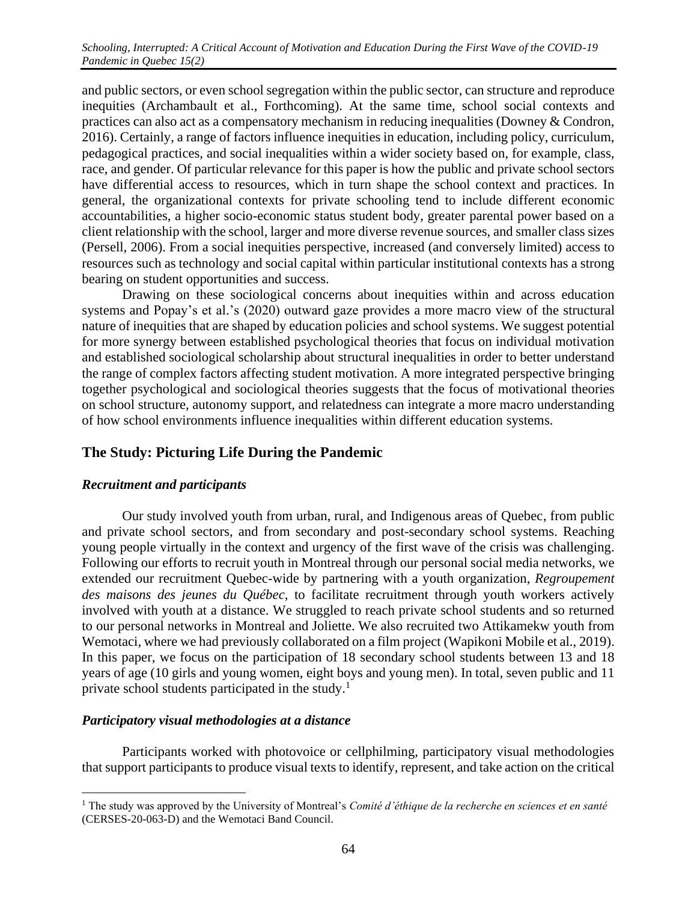and public sectors, or even school segregation within the public sector, can structure and reproduce inequities (Archambault et al., Forthcoming). At the same time, school social contexts and practices can also act as a compensatory mechanism in reducing inequalities (Downey & Condron, 2016). Certainly, a range of factors influence inequities in education, including policy, curriculum, pedagogical practices, and social inequalities within a wider society based on, for example, class, race, and gender. Of particular relevance for this paper is how the public and private school sectors have differential access to resources, which in turn shape the school context and practices. In general, the organizational contexts for private schooling tend to include different economic accountabilities, a higher socio-economic status student body, greater parental power based on a client relationship with the school, larger and more diverse revenue sources, and smaller class sizes (Persell, 2006). From a social inequities perspective, increased (and conversely limited) access to resources such as technology and social capital within particular institutional contexts has a strong bearing on student opportunities and success.

Drawing on these sociological concerns about inequities within and across education systems and Popay's et al.'s (2020) outward gaze provides a more macro view of the structural nature of inequities that are shaped by education policies and school systems. We suggest potential for more synergy between established psychological theories that focus on individual motivation and established sociological scholarship about structural inequalities in order to better understand the range of complex factors affecting student motivation. A more integrated perspective bringing together psychological and sociological theories suggests that the focus of motivational theories on school structure, autonomy support, and relatedness can integrate a more macro understanding of how school environments influence inequalities within different education systems.

# **The Study: Picturing Life During the Pandemic**

#### *Recruitment and participants*

Our study involved youth from urban, rural, and Indigenous areas of Quebec, from public and private school sectors, and from secondary and post-secondary school systems. Reaching young people virtually in the context and urgency of the first wave of the crisis was challenging. Following our efforts to recruit youth in Montreal through our personal social media networks, we extended our recruitment Quebec-wide by partnering with a youth organization, *Regroupement des maisons des jeunes du Québec*, to facilitate recruitment through youth workers actively involved with youth at a distance. We struggled to reach private school students and so returned to our personal networks in Montreal and Joliette. We also recruited two Attikamekw youth from Wemotaci, where we had previously collaborated on a film project (Wapikoni Mobile et al., 2019). In this paper, we focus on the participation of 18 secondary school students between 13 and 18 years of age (10 girls and young women, eight boys and young men). In total, seven public and 11 private school students participated in the study.<sup>1</sup>

#### *Participatory visual methodologies at a distance*

Participants worked with photovoice or cellphilming, participatory visual methodologies that support participants to produce visual texts to identify, represent, and take action on the critical

<sup>1</sup> The study was approved by the University of Montreal's *Comité d'éthique de la recherche en sciences et en santé*  (CERSES-20-063-D) and the Wemotaci Band Council.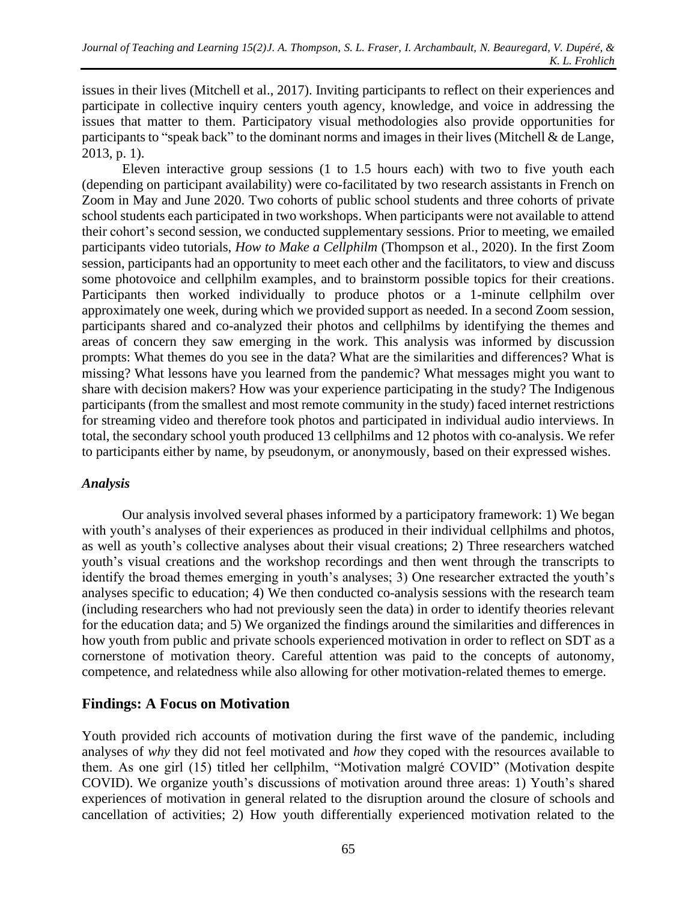issues in their lives (Mitchell et al., 2017). Inviting participants to reflect on their experiences and participate in collective inquiry centers youth agency, knowledge, and voice in addressing the issues that matter to them. Participatory visual methodologies also provide opportunities for participants to "speak back" to the dominant norms and images in their lives (Mitchell & de Lange, 2013, p. 1).

Eleven interactive group sessions (1 to 1.5 hours each) with two to five youth each (depending on participant availability) were co-facilitated by two research assistants in French on Zoom in May and June 2020. Two cohorts of public school students and three cohorts of private school students each participated in two workshops. When participants were not available to attend their cohort's second session, we conducted supplementary sessions. Prior to meeting, we emailed participants video tutorials, *How to Make a Cellphilm* (Thompson et al., 2020). In the first Zoom session, participants had an opportunity to meet each other and the facilitators, to view and discuss some photovoice and cellphilm examples, and to brainstorm possible topics for their creations. Participants then worked individually to produce photos or a 1-minute cellphilm over approximately one week, during which we provided support as needed. In a second Zoom session, participants shared and co-analyzed their photos and cellphilms by identifying the themes and areas of concern they saw emerging in the work. This analysis was informed by discussion prompts: What themes do you see in the data? What are the similarities and differences? What is missing? What lessons have you learned from the pandemic? What messages might you want to share with decision makers? How was your experience participating in the study? The Indigenous participants (from the smallest and most remote community in the study) faced internet restrictions for streaming video and therefore took photos and participated in individual audio interviews. In total, the secondary school youth produced 13 cellphilms and 12 photos with co-analysis. We refer to participants either by name, by pseudonym, or anonymously, based on their expressed wishes.

## *Analysis*

Our analysis involved several phases informed by a participatory framework: 1) We began with youth's analyses of their experiences as produced in their individual cellphilms and photos, as well as youth's collective analyses about their visual creations; 2) Three researchers watched youth's visual creations and the workshop recordings and then went through the transcripts to identify the broad themes emerging in youth's analyses; 3) One researcher extracted the youth's analyses specific to education; 4) We then conducted co-analysis sessions with the research team (including researchers who had not previously seen the data) in order to identify theories relevant for the education data; and 5) We organized the findings around the similarities and differences in how youth from public and private schools experienced motivation in order to reflect on SDT as a cornerstone of motivation theory. Careful attention was paid to the concepts of autonomy, competence, and relatedness while also allowing for other motivation-related themes to emerge.

# **Findings: A Focus on Motivation**

Youth provided rich accounts of motivation during the first wave of the pandemic, including analyses of *why* they did not feel motivated and *how* they coped with the resources available to them. As one girl (15) titled her cellphilm, "Motivation malgré COVID" (Motivation despite COVID). We organize youth's discussions of motivation around three areas: 1) Youth's shared experiences of motivation in general related to the disruption around the closure of schools and cancellation of activities; 2) How youth differentially experienced motivation related to the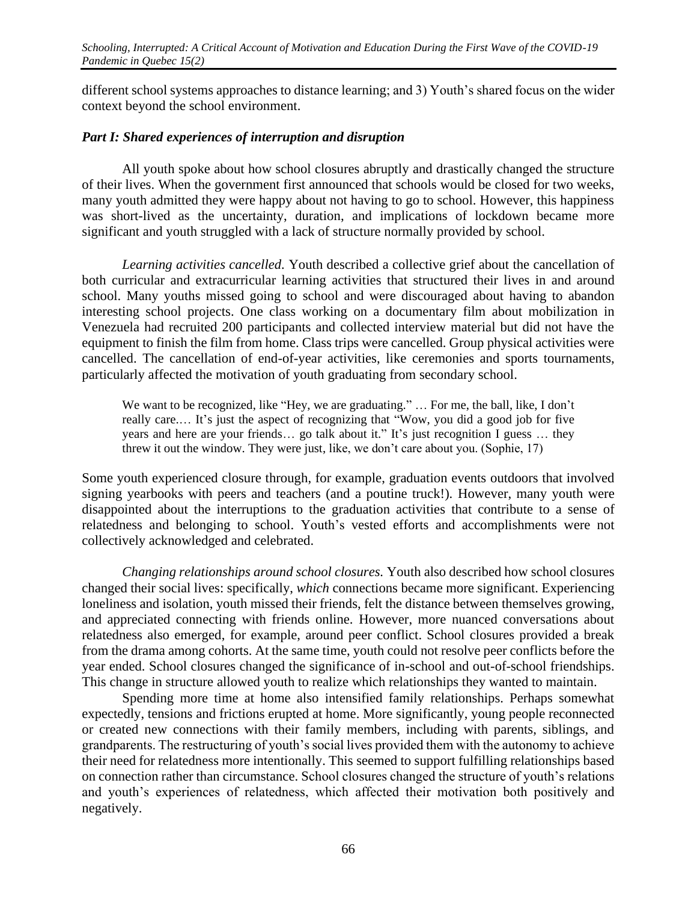different school systems approaches to distance learning; and 3) Youth's shared focus on the wider context beyond the school environment.

#### *Part I: Shared experiences of interruption and disruption*

All youth spoke about how school closures abruptly and drastically changed the structure of their lives. When the government first announced that schools would be closed for two weeks, many youth admitted they were happy about not having to go to school. However, this happiness was short-lived as the uncertainty, duration, and implications of lockdown became more significant and youth struggled with a lack of structure normally provided by school.

*Learning activities cancelled.* Youth described a collective grief about the cancellation of both curricular and extracurricular learning activities that structured their lives in and around school. Many youths missed going to school and were discouraged about having to abandon interesting school projects. One class working on a documentary film about mobilization in Venezuela had recruited 200 participants and collected interview material but did not have the equipment to finish the film from home. Class trips were cancelled. Group physical activities were cancelled. The cancellation of end-of-year activities, like ceremonies and sports tournaments, particularly affected the motivation of youth graduating from secondary school.

We want to be recognized, like "Hey, we are graduating." ... For me, the ball, like, I don't really care.… It's just the aspect of recognizing that "Wow, you did a good job for five years and here are your friends… go talk about it." It's just recognition I guess … they threw it out the window. They were just, like, we don't care about you. (Sophie, 17)

Some youth experienced closure through, for example, graduation events outdoors that involved signing yearbooks with peers and teachers (and a poutine truck!). However, many youth were disappointed about the interruptions to the graduation activities that contribute to a sense of relatedness and belonging to school. Youth's vested efforts and accomplishments were not collectively acknowledged and celebrated.

*Changing relationships around school closures.* Youth also described how school closures changed their social lives: specifically, *which* connections became more significant. Experiencing loneliness and isolation, youth missed their friends, felt the distance between themselves growing, and appreciated connecting with friends online. However, more nuanced conversations about relatedness also emerged, for example, around peer conflict. School closures provided a break from the drama among cohorts. At the same time, youth could not resolve peer conflicts before the year ended. School closures changed the significance of in-school and out-of-school friendships. This change in structure allowed youth to realize which relationships they wanted to maintain.

Spending more time at home also intensified family relationships. Perhaps somewhat expectedly, tensions and frictions erupted at home. More significantly, young people reconnected or created new connections with their family members, including with parents, siblings, and grandparents. The restructuring of youth's social lives provided them with the autonomy to achieve their need for relatedness more intentionally. This seemed to support fulfilling relationships based on connection rather than circumstance. School closures changed the structure of youth's relations and youth's experiences of relatedness, which affected their motivation both positively and negatively.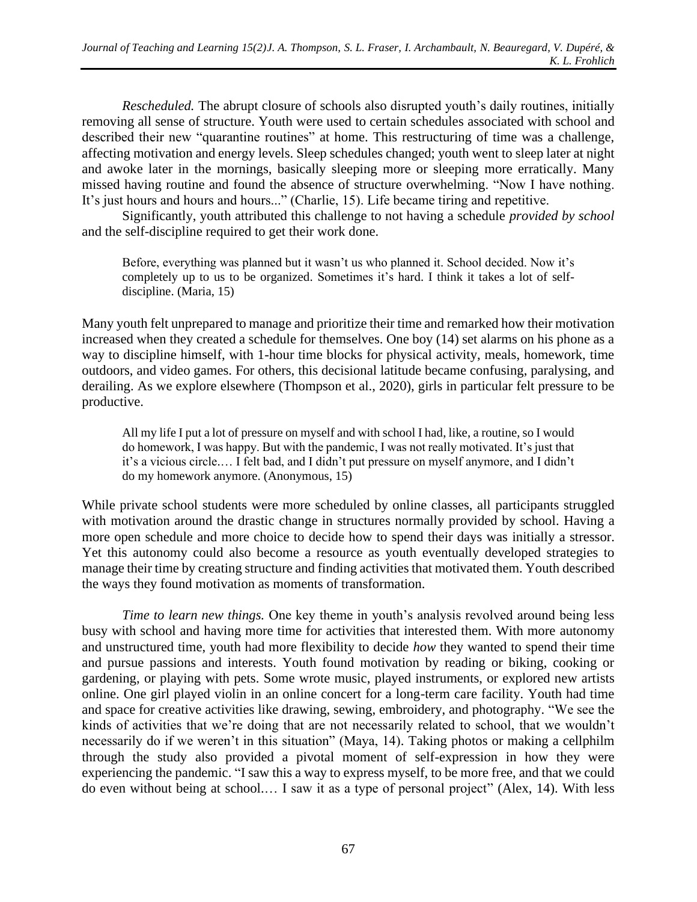*Rescheduled.* The abrupt closure of schools also disrupted youth's daily routines, initially removing all sense of structure. Youth were used to certain schedules associated with school and described their new "quarantine routines" at home. This restructuring of time was a challenge, affecting motivation and energy levels. Sleep schedules changed; youth went to sleep later at night and awoke later in the mornings, basically sleeping more or sleeping more erratically. Many missed having routine and found the absence of structure overwhelming. "Now I have nothing. It's just hours and hours and hours..." (Charlie, 15). Life became tiring and repetitive.

Significantly, youth attributed this challenge to not having a schedule *provided by school* and the self-discipline required to get their work done.

Before, everything was planned but it wasn't us who planned it. School decided. Now it's completely up to us to be organized. Sometimes it's hard. I think it takes a lot of selfdiscipline. (Maria, 15)

Many youth felt unprepared to manage and prioritize their time and remarked how their motivation increased when they created a schedule for themselves. One boy (14) set alarms on his phone as a way to discipline himself, with 1-hour time blocks for physical activity, meals, homework, time outdoors, and video games. For others, this decisional latitude became confusing, paralysing, and derailing. As we explore elsewhere (Thompson et al., 2020), girls in particular felt pressure to be productive.

All my life I put a lot of pressure on myself and with school I had, like, a routine, so I would do homework, I was happy. But with the pandemic, I was not really motivated. It's just that it's a vicious circle.… I felt bad, and I didn't put pressure on myself anymore, and I didn't do my homework anymore. (Anonymous, 15)

While private school students were more scheduled by online classes, all participants struggled with motivation around the drastic change in structures normally provided by school. Having a more open schedule and more choice to decide how to spend their days was initially a stressor. Yet this autonomy could also become a resource as youth eventually developed strategies to manage their time by creating structure and finding activities that motivated them. Youth described the ways they found motivation as moments of transformation.

*Time to learn new things.* One key theme in youth's analysis revolved around being less busy with school and having more time for activities that interested them. With more autonomy and unstructured time, youth had more flexibility to decide *how* they wanted to spend their time and pursue passions and interests. Youth found motivation by reading or biking, cooking or gardening, or playing with pets. Some wrote music, played instruments, or explored new artists online. One girl played violin in an online concert for a long-term care facility. Youth had time and space for creative activities like drawing, sewing, embroidery, and photography. "We see the kinds of activities that we're doing that are not necessarily related to school, that we wouldn't necessarily do if we weren't in this situation" (Maya, 14). Taking photos or making a cellphilm through the study also provided a pivotal moment of self-expression in how they were experiencing the pandemic. "I saw this a way to express myself, to be more free, and that we could do even without being at school.… I saw it as a type of personal project" (Alex, 14). With less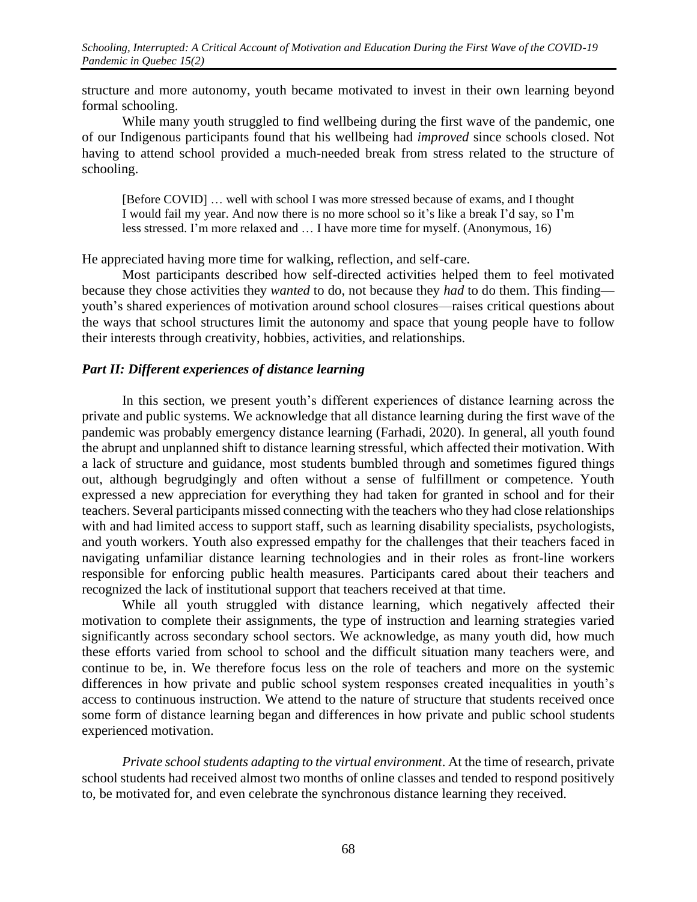structure and more autonomy, youth became motivated to invest in their own learning beyond formal schooling.

While many youth struggled to find wellbeing during the first wave of the pandemic, one of our Indigenous participants found that his wellbeing had *improved* since schools closed. Not having to attend school provided a much-needed break from stress related to the structure of schooling.

[Before COVID] … well with school I was more stressed because of exams, and I thought I would fail my year. And now there is no more school so it's like a break I'd say, so I'm less stressed. I'm more relaxed and … I have more time for myself. (Anonymous, 16)

He appreciated having more time for walking, reflection, and self-care.

Most participants described how self-directed activities helped them to feel motivated because they chose activities they *wanted* to do, not because they *had* to do them. This finding youth's shared experiences of motivation around school closures—raises critical questions about the ways that school structures limit the autonomy and space that young people have to follow their interests through creativity, hobbies, activities, and relationships.

## *Part II: Different experiences of distance learning*

In this section, we present youth's different experiences of distance learning across the private and public systems. We acknowledge that all distance learning during the first wave of the pandemic was probably emergency distance learning (Farhadi, 2020). In general, all youth found the abrupt and unplanned shift to distance learning stressful, which affected their motivation. With a lack of structure and guidance, most students bumbled through and sometimes figured things out, although begrudgingly and often without a sense of fulfillment or competence. Youth expressed a new appreciation for everything they had taken for granted in school and for their teachers. Several participants missed connecting with the teachers who they had close relationships with and had limited access to support staff, such as learning disability specialists, psychologists, and youth workers. Youth also expressed empathy for the challenges that their teachers faced in navigating unfamiliar distance learning technologies and in their roles as front-line workers responsible for enforcing public health measures. Participants cared about their teachers and recognized the lack of institutional support that teachers received at that time.

While all youth struggled with distance learning, which negatively affected their motivation to complete their assignments, the type of instruction and learning strategies varied significantly across secondary school sectors. We acknowledge, as many youth did, how much these efforts varied from school to school and the difficult situation many teachers were, and continue to be, in. We therefore focus less on the role of teachers and more on the systemic differences in how private and public school system responses created inequalities in youth's access to continuous instruction. We attend to the nature of structure that students received once some form of distance learning began and differences in how private and public school students experienced motivation.

*Private school students adapting to the virtual environment*. At the time of research, private school students had received almost two months of online classes and tended to respond positively to, be motivated for, and even celebrate the synchronous distance learning they received.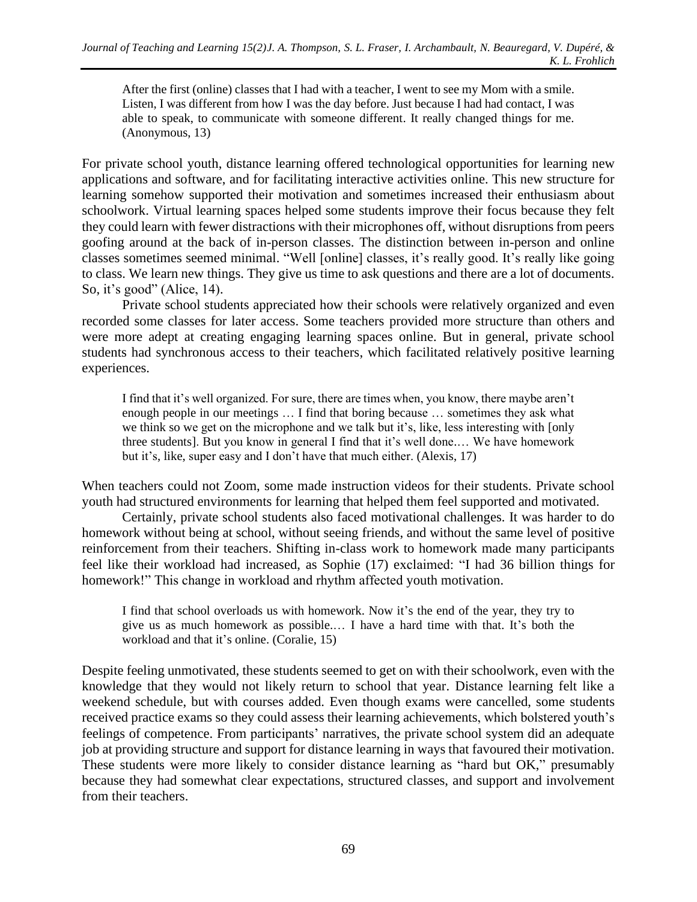After the first (online) classes that I had with a teacher, I went to see my Mom with a smile. Listen, I was different from how I was the day before. Just because I had had contact, I was able to speak, to communicate with someone different. It really changed things for me. (Anonymous, 13)

For private school youth, distance learning offered technological opportunities for learning new applications and software, and for facilitating interactive activities online. This new structure for learning somehow supported their motivation and sometimes increased their enthusiasm about schoolwork. Virtual learning spaces helped some students improve their focus because they felt they could learn with fewer distractions with their microphones off, without disruptions from peers goofing around at the back of in-person classes. The distinction between in-person and online classes sometimes seemed minimal. "Well [online] classes, it's really good. It's really like going to class. We learn new things. They give us time to ask questions and there are a lot of documents. So, it's good" (Alice, 14).

Private school students appreciated how their schools were relatively organized and even recorded some classes for later access. Some teachers provided more structure than others and were more adept at creating engaging learning spaces online. But in general, private school students had synchronous access to their teachers, which facilitated relatively positive learning experiences.

I find that it's well organized. For sure, there are times when, you know, there maybe aren't enough people in our meetings … I find that boring because … sometimes they ask what we think so we get on the microphone and we talk but it's, like, less interesting with [only three students]. But you know in general I find that it's well done.… We have homework but it's, like, super easy and I don't have that much either. (Alexis, 17)

When teachers could not Zoom, some made instruction videos for their students. Private school youth had structured environments for learning that helped them feel supported and motivated.

Certainly, private school students also faced motivational challenges. It was harder to do homework without being at school, without seeing friends, and without the same level of positive reinforcement from their teachers. Shifting in-class work to homework made many participants feel like their workload had increased, as Sophie (17) exclaimed: "I had 36 billion things for homework!" This change in workload and rhythm affected youth motivation.

I find that school overloads us with homework. Now it's the end of the year, they try to give us as much homework as possible.… I have a hard time with that. It's both the workload and that it's online. (Coralie, 15)

Despite feeling unmotivated, these students seemed to get on with their schoolwork, even with the knowledge that they would not likely return to school that year. Distance learning felt like a weekend schedule, but with courses added. Even though exams were cancelled, some students received practice exams so they could assess their learning achievements, which bolstered youth's feelings of competence. From participants' narratives, the private school system did an adequate job at providing structure and support for distance learning in ways that favoured their motivation. These students were more likely to consider distance learning as "hard but OK," presumably because they had somewhat clear expectations, structured classes, and support and involvement from their teachers.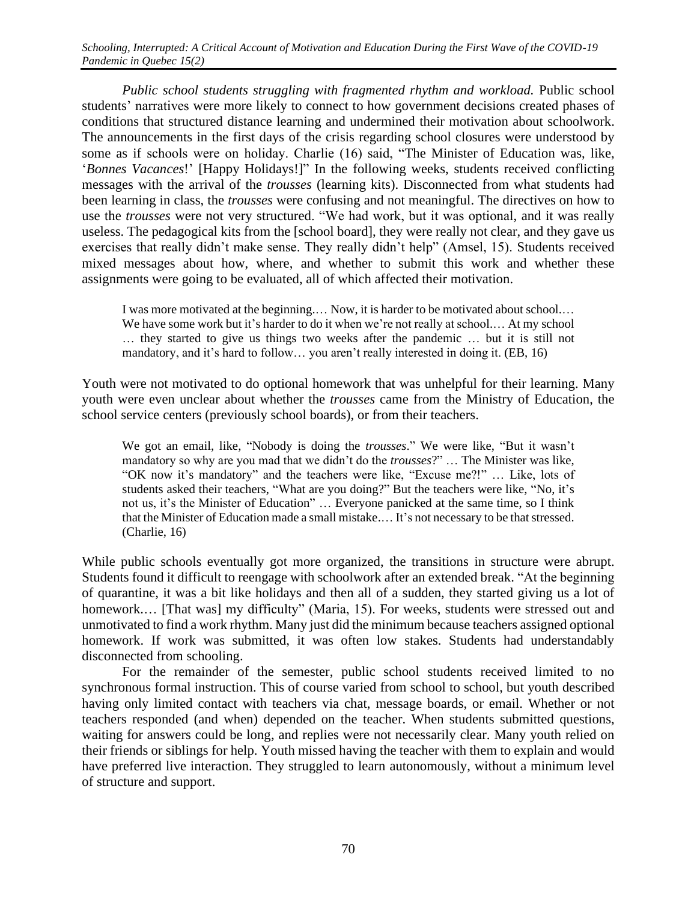*Public school students struggling with fragmented rhythm and workload.* Public school students' narratives were more likely to connect to how government decisions created phases of conditions that structured distance learning and undermined their motivation about schoolwork. The announcements in the first days of the crisis regarding school closures were understood by some as if schools were on holiday. Charlie (16) said, "The Minister of Education was, like, '*Bonnes Vacances*!' [Happy Holidays!]" In the following weeks, students received conflicting messages with the arrival of the *trousses* (learning kits). Disconnected from what students had been learning in class, the *trousses* were confusing and not meaningful. The directives on how to use the *trousses* were not very structured. "We had work, but it was optional, and it was really useless. The pedagogical kits from the [school board], they were really not clear, and they gave us exercises that really didn't make sense. They really didn't help" (Amsel, 15). Students received mixed messages about how, where, and whether to submit this work and whether these assignments were going to be evaluated, all of which affected their motivation.

I was more motivated at the beginning.… Now, it is harder to be motivated about school.… We have some work but it's harder to do it when we're not really at school.... At my school … they started to give us things two weeks after the pandemic … but it is still not mandatory, and it's hard to follow… you aren't really interested in doing it. (EB, 16)

Youth were not motivated to do optional homework that was unhelpful for their learning. Many youth were even unclear about whether the *trousses* came from the Ministry of Education, the school service centers (previously school boards), or from their teachers.

We got an email, like, "Nobody is doing the *trousses*." We were like, "But it wasn't mandatory so why are you mad that we didn't do the *trousses*?" … The Minister was like, "OK now it's mandatory" and the teachers were like, "Excuse me?!" … Like, lots of students asked their teachers, "What are you doing?" But the teachers were like, "No, it's not us, it's the Minister of Education" … Everyone panicked at the same time, so I think that the Minister of Education made a small mistake.… It's not necessary to be that stressed. (Charlie, 16)

While public schools eventually got more organized, the transitions in structure were abrupt. Students found it difficult to reengage with schoolwork after an extended break. "At the beginning of quarantine, it was a bit like holidays and then all of a sudden, they started giving us a lot of homework.... [That was] my difficulty" (Maria, 15). For weeks, students were stressed out and unmotivated to find a work rhythm. Many just did the minimum because teachers assigned optional homework. If work was submitted, it was often low stakes. Students had understandably disconnected from schooling.

For the remainder of the semester, public school students received limited to no synchronous formal instruction. This of course varied from school to school, but youth described having only limited contact with teachers via chat, message boards, or email. Whether or not teachers responded (and when) depended on the teacher. When students submitted questions, waiting for answers could be long, and replies were not necessarily clear. Many youth relied on their friends or siblings for help. Youth missed having the teacher with them to explain and would have preferred live interaction. They struggled to learn autonomously, without a minimum level of structure and support.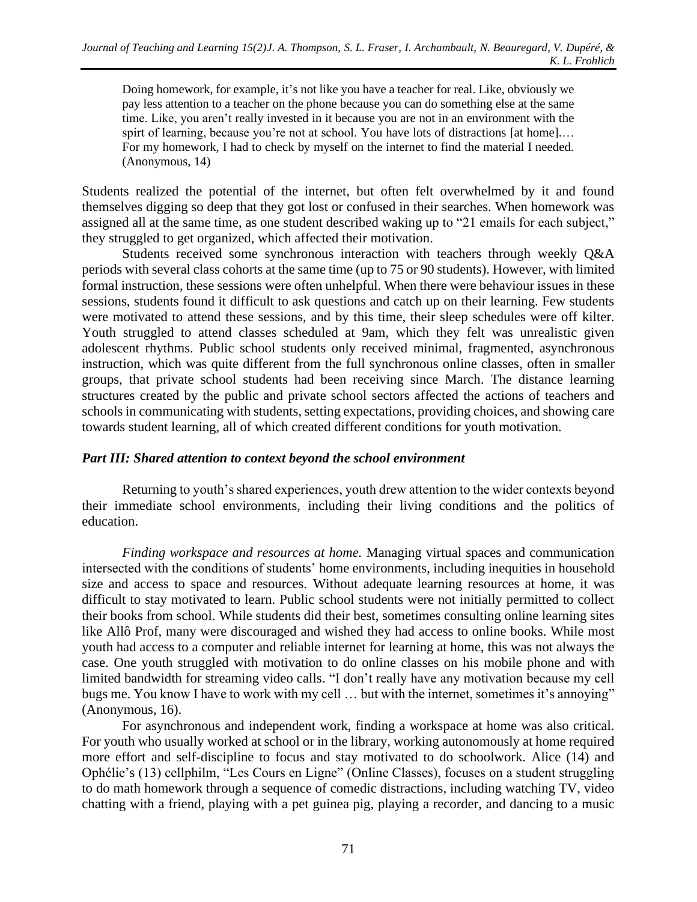Doing homework, for example, it's not like you have a teacher for real. Like, obviously we pay less attention to a teacher on the phone because you can do something else at the same time. Like, you aren't really invested in it because you are not in an environment with the spirt of learning, because you're not at school. You have lots of distractions [at home].... For my homework, I had to check by myself on the internet to find the material I needed. (Anonymous, 14)

Students realized the potential of the internet, but often felt overwhelmed by it and found themselves digging so deep that they got lost or confused in their searches. When homework was assigned all at the same time, as one student described waking up to "21 emails for each subject," they struggled to get organized, which affected their motivation.

Students received some synchronous interaction with teachers through weekly Q&A periods with several class cohorts at the same time (up to 75 or 90 students). However, with limited formal instruction, these sessions were often unhelpful. When there were behaviour issues in these sessions, students found it difficult to ask questions and catch up on their learning. Few students were motivated to attend these sessions, and by this time, their sleep schedules were off kilter. Youth struggled to attend classes scheduled at 9am, which they felt was unrealistic given adolescent rhythms. Public school students only received minimal, fragmented, asynchronous instruction, which was quite different from the full synchronous online classes, often in smaller groups, that private school students had been receiving since March. The distance learning structures created by the public and private school sectors affected the actions of teachers and schools in communicating with students, setting expectations, providing choices, and showing care towards student learning, all of which created different conditions for youth motivation.

#### *Part III: Shared attention to context beyond the school environment*

Returning to youth's shared experiences, youth drew attention to the wider contexts beyond their immediate school environments, including their living conditions and the politics of education.

*Finding workspace and resources at home.* Managing virtual spaces and communication intersected with the conditions of students' home environments, including inequities in household size and access to space and resources. Without adequate learning resources at home, it was difficult to stay motivated to learn. Public school students were not initially permitted to collect their books from school. While students did their best, sometimes consulting online learning sites like Allô Prof, many were discouraged and wished they had access to online books. While most youth had access to a computer and reliable internet for learning at home, this was not always the case. One youth struggled with motivation to do online classes on his mobile phone and with limited bandwidth for streaming video calls. "I don't really have any motivation because my cell bugs me. You know I have to work with my cell ... but with the internet, sometimes it's annoying" (Anonymous, 16).

For asynchronous and independent work, finding a workspace at home was also critical. For youth who usually worked at school or in the library, working autonomously at home required more effort and self-discipline to focus and stay motivated to do schoolwork. Alice (14) and Ophélie's (13) cellphilm, "Les Cours en Ligne" (Online Classes), focuses on a student struggling to do math homework through a sequence of comedic distractions, including watching TV, video chatting with a friend, playing with a pet guinea pig, playing a recorder, and dancing to a music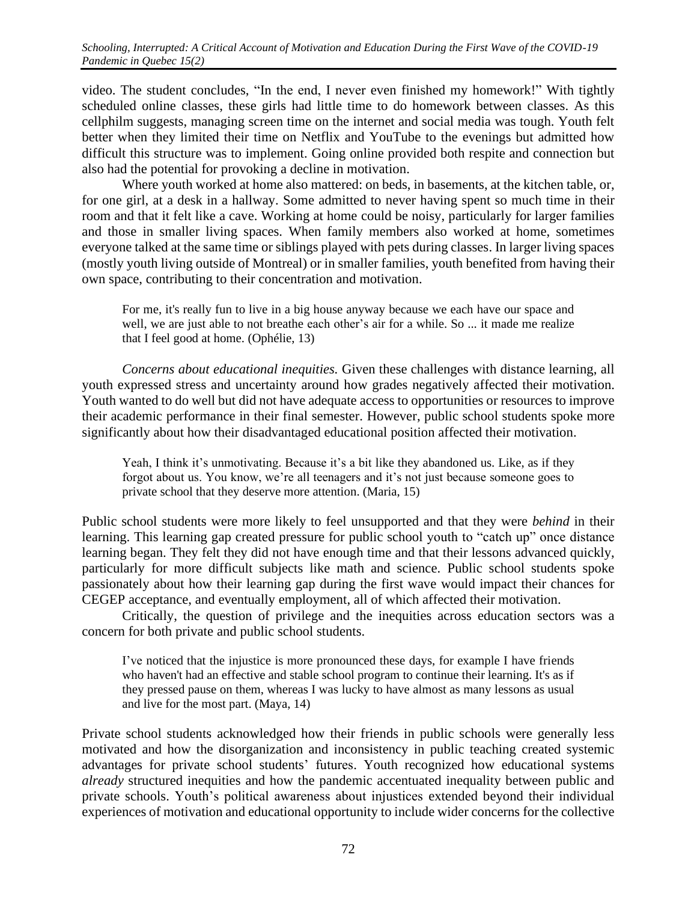video. The student concludes, "In the end, I never even finished my homework!" With tightly scheduled online classes, these girls had little time to do homework between classes. As this cellphilm suggests, managing screen time on the internet and social media was tough. Youth felt better when they limited their time on Netflix and YouTube to the evenings but admitted how difficult this structure was to implement. Going online provided both respite and connection but also had the potential for provoking a decline in motivation.

Where youth worked at home also mattered: on beds, in basements, at the kitchen table, or, for one girl, at a desk in a hallway. Some admitted to never having spent so much time in their room and that it felt like a cave. Working at home could be noisy, particularly for larger families and those in smaller living spaces. When family members also worked at home, sometimes everyone talked at the same time or siblings played with pets during classes. In larger living spaces (mostly youth living outside of Montreal) or in smaller families, youth benefited from having their own space, contributing to their concentration and motivation.

For me, it's really fun to live in a big house anyway because we each have our space and well, we are just able to not breathe each other's air for a while. So ... it made me realize that I feel good at home. (Ophélie, 13)

*Concerns about educational inequities.* Given these challenges with distance learning, all youth expressed stress and uncertainty around how grades negatively affected their motivation. Youth wanted to do well but did not have adequate access to opportunities or resources to improve their academic performance in their final semester. However, public school students spoke more significantly about how their disadvantaged educational position affected their motivation.

Yeah, I think it's unmotivating. Because it's a bit like they abandoned us. Like, as if they forgot about us. You know, we're all teenagers and it's not just because someone goes to private school that they deserve more attention. (Maria, 15)

Public school students were more likely to feel unsupported and that they were *behind* in their learning. This learning gap created pressure for public school youth to "catch up" once distance learning began. They felt they did not have enough time and that their lessons advanced quickly, particularly for more difficult subjects like math and science. Public school students spoke passionately about how their learning gap during the first wave would impact their chances for CEGEP acceptance, and eventually employment, all of which affected their motivation.

Critically, the question of privilege and the inequities across education sectors was a concern for both private and public school students.

I've noticed that the injustice is more pronounced these days, for example I have friends who haven't had an effective and stable school program to continue their learning. It's as if they pressed pause on them, whereas I was lucky to have almost as many lessons as usual and live for the most part. (Maya, 14)

Private school students acknowledged how their friends in public schools were generally less motivated and how the disorganization and inconsistency in public teaching created systemic advantages for private school students' futures. Youth recognized how educational systems *already* structured inequities and how the pandemic accentuated inequality between public and private schools. Youth's political awareness about injustices extended beyond their individual experiences of motivation and educational opportunity to include wider concerns for the collective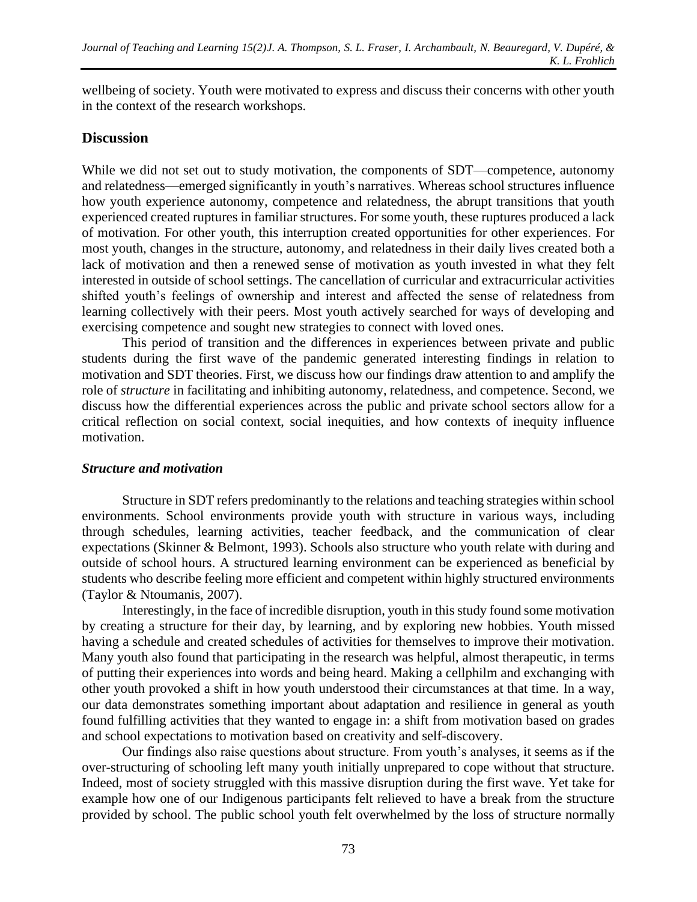wellbeing of society. Youth were motivated to express and discuss their concerns with other youth in the context of the research workshops.

## **Discussion**

While we did not set out to study motivation, the components of SDT—competence, autonomy and relatedness—emerged significantly in youth's narratives. Whereas school structures influence how youth experience autonomy, competence and relatedness, the abrupt transitions that youth experienced created ruptures in familiar structures. For some youth, these ruptures produced a lack of motivation. For other youth, this interruption created opportunities for other experiences. For most youth, changes in the structure, autonomy, and relatedness in their daily lives created both a lack of motivation and then a renewed sense of motivation as youth invested in what they felt interested in outside of school settings. The cancellation of curricular and extracurricular activities shifted youth's feelings of ownership and interest and affected the sense of relatedness from learning collectively with their peers. Most youth actively searched for ways of developing and exercising competence and sought new strategies to connect with loved ones.

This period of transition and the differences in experiences between private and public students during the first wave of the pandemic generated interesting findings in relation to motivation and SDT theories. First, we discuss how our findings draw attention to and amplify the role of *structure* in facilitating and inhibiting autonomy, relatedness, and competence. Second, we discuss how the differential experiences across the public and private school sectors allow for a critical reflection on social context, social inequities, and how contexts of inequity influence motivation.

#### *Structure and motivation*

Structure in SDT refers predominantly to the relations and teaching strategies within school environments. School environments provide youth with structure in various ways, including through schedules, learning activities, teacher feedback, and the communication of clear expectations (Skinner & Belmont, 1993). Schools also structure who youth relate with during and outside of school hours. A structured learning environment can be experienced as beneficial by students who describe feeling more efficient and competent within highly structured environments (Taylor & Ntoumanis, 2007).

Interestingly, in the face of incredible disruption, youth in this study found some motivation by creating a structure for their day, by learning, and by exploring new hobbies. Youth missed having a schedule and created schedules of activities for themselves to improve their motivation. Many youth also found that participating in the research was helpful, almost therapeutic, in terms of putting their experiences into words and being heard. Making a cellphilm and exchanging with other youth provoked a shift in how youth understood their circumstances at that time. In a way, our data demonstrates something important about adaptation and resilience in general as youth found fulfilling activities that they wanted to engage in: a shift from motivation based on grades and school expectations to motivation based on creativity and self-discovery.

Our findings also raise questions about structure. From youth's analyses, it seems as if the over-structuring of schooling left many youth initially unprepared to cope without that structure. Indeed, most of society struggled with this massive disruption during the first wave. Yet take for example how one of our Indigenous participants felt relieved to have a break from the structure provided by school. The public school youth felt overwhelmed by the loss of structure normally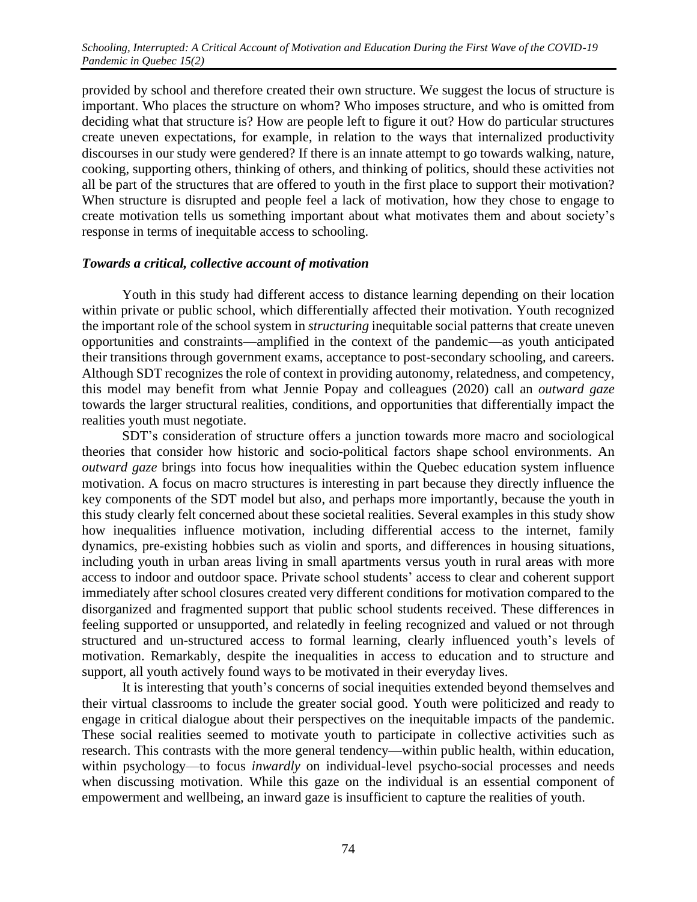provided by school and therefore created their own structure. We suggest the locus of structure is important. Who places the structure on whom? Who imposes structure, and who is omitted from deciding what that structure is? How are people left to figure it out? How do particular structures create uneven expectations, for example, in relation to the ways that internalized productivity discourses in our study were gendered? If there is an innate attempt to go towards walking, nature, cooking, supporting others, thinking of others, and thinking of politics, should these activities not all be part of the structures that are offered to youth in the first place to support their motivation? When structure is disrupted and people feel a lack of motivation, how they chose to engage to create motivation tells us something important about what motivates them and about society's response in terms of inequitable access to schooling.

#### *Towards a critical, collective account of motivation*

Youth in this study had different access to distance learning depending on their location within private or public school, which differentially affected their motivation. Youth recognized the important role of the school system in *structuring* inequitable social patterns that create uneven opportunities and constraints—amplified in the context of the pandemic—as youth anticipated their transitions through government exams, acceptance to post-secondary schooling, and careers. Although SDT recognizes the role of context in providing autonomy, relatedness, and competency, this model may benefit from what Jennie Popay and colleagues (2020) call an *outward gaze* towards the larger structural realities, conditions, and opportunities that differentially impact the realities youth must negotiate.

SDT's consideration of structure offers a junction towards more macro and sociological theories that consider how historic and socio-political factors shape school environments. An *outward gaze* brings into focus how inequalities within the Quebec education system influence motivation. A focus on macro structures is interesting in part because they directly influence the key components of the SDT model but also, and perhaps more importantly, because the youth in this study clearly felt concerned about these societal realities. Several examples in this study show how inequalities influence motivation, including differential access to the internet, family dynamics, pre-existing hobbies such as violin and sports, and differences in housing situations, including youth in urban areas living in small apartments versus youth in rural areas with more access to indoor and outdoor space. Private school students' access to clear and coherent support immediately after school closures created very different conditions for motivation compared to the disorganized and fragmented support that public school students received. These differences in feeling supported or unsupported, and relatedly in feeling recognized and valued or not through structured and un-structured access to formal learning, clearly influenced youth's levels of motivation. Remarkably, despite the inequalities in access to education and to structure and support, all youth actively found ways to be motivated in their everyday lives.

It is interesting that youth's concerns of social inequities extended beyond themselves and their virtual classrooms to include the greater social good. Youth were politicized and ready to engage in critical dialogue about their perspectives on the inequitable impacts of the pandemic. These social realities seemed to motivate youth to participate in collective activities such as research. This contrasts with the more general tendency—within public health, within education, within psychology—to focus *inwardly* on individual-level psycho-social processes and needs when discussing motivation. While this gaze on the individual is an essential component of empowerment and wellbeing, an inward gaze is insufficient to capture the realities of youth.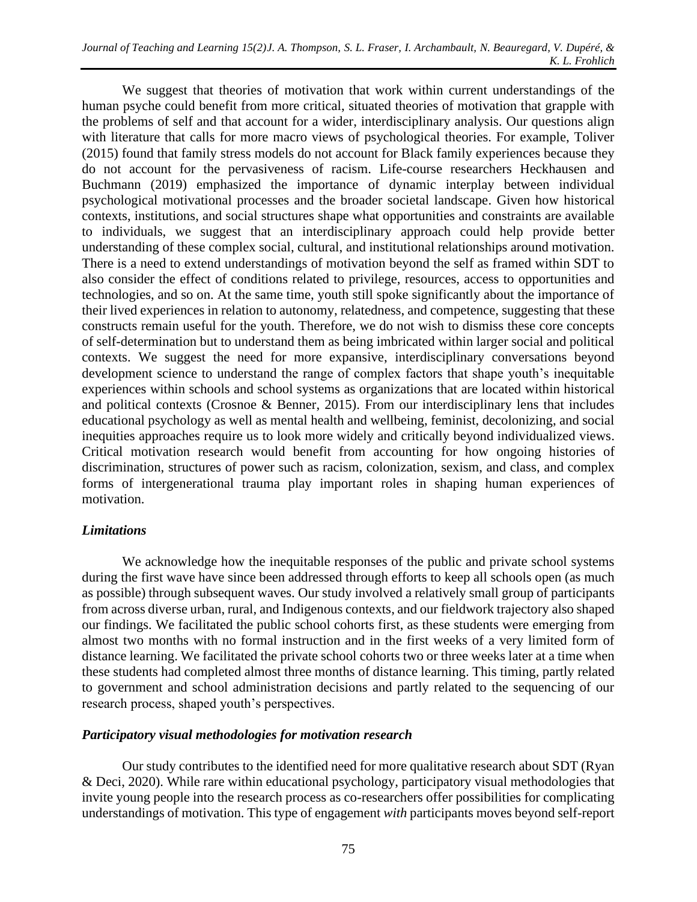We suggest that theories of motivation that work within current understandings of the human psyche could benefit from more critical, situated theories of motivation that grapple with the problems of self and that account for a wider, interdisciplinary analysis. Our questions align with literature that calls for more macro views of psychological theories. For example, Toliver (2015) found that family stress models do not account for Black family experiences because they do not account for the pervasiveness of racism. Life-course researchers Heckhausen and Buchmann (2019) emphasized the importance of dynamic interplay between individual psychological motivational processes and the broader societal landscape. Given how historical contexts, institutions, and social structures shape what opportunities and constraints are available to individuals, we suggest that an interdisciplinary approach could help provide better understanding of these complex social, cultural, and institutional relationships around motivation. There is a need to extend understandings of motivation beyond the self as framed within SDT to also consider the effect of conditions related to privilege, resources, access to opportunities and technologies, and so on. At the same time, youth still spoke significantly about the importance of their lived experiences in relation to autonomy, relatedness, and competence, suggesting that these constructs remain useful for the youth. Therefore, we do not wish to dismiss these core concepts of self-determination but to understand them as being imbricated within larger social and political contexts. We suggest the need for more expansive, interdisciplinary conversations beyond development science to understand the range of complex factors that shape youth's inequitable experiences within schools and school systems as organizations that are located within historical and political contexts (Crosnoe & Benner, 2015). From our interdisciplinary lens that includes educational psychology as well as mental health and wellbeing, feminist, decolonizing, and social inequities approaches require us to look more widely and critically beyond individualized views. Critical motivation research would benefit from accounting for how ongoing histories of discrimination, structures of power such as racism, colonization, sexism, and class, and complex forms of intergenerational trauma play important roles in shaping human experiences of motivation.

## *Limitations*

We acknowledge how the inequitable responses of the public and private school systems during the first wave have since been addressed through efforts to keep all schools open (as much as possible) through subsequent waves. Our study involved a relatively small group of participants from across diverse urban, rural, and Indigenous contexts, and our fieldwork trajectory also shaped our findings. We facilitated the public school cohorts first, as these students were emerging from almost two months with no formal instruction and in the first weeks of a very limited form of distance learning. We facilitated the private school cohorts two or three weeks later at a time when these students had completed almost three months of distance learning. This timing, partly related to government and school administration decisions and partly related to the sequencing of our research process, shaped youth's perspectives.

## *Participatory visual methodologies for motivation research*

Our study contributes to the identified need for more qualitative research about SDT (Ryan & Deci, 2020). While rare within educational psychology, participatory visual methodologies that invite young people into the research process as co-researchers offer possibilities for complicating understandings of motivation. This type of engagement *with* participants moves beyond self-report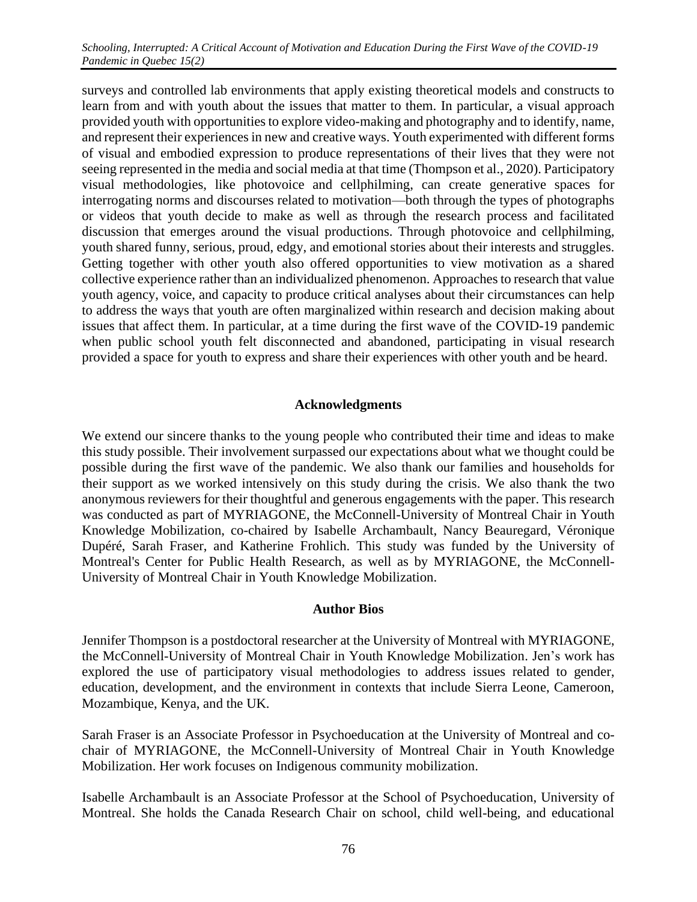surveys and controlled lab environments that apply existing theoretical models and constructs to learn from and with youth about the issues that matter to them. In particular, a visual approach provided youth with opportunities to explore video-making and photography and to identify, name, and represent their experiences in new and creative ways. Youth experimented with different forms of visual and embodied expression to produce representations of their lives that they were not seeing represented in the media and social media at that time (Thompson et al., 2020). Participatory visual methodologies, like photovoice and cellphilming, can create generative spaces for interrogating norms and discourses related to motivation—both through the types of photographs or videos that youth decide to make as well as through the research process and facilitated discussion that emerges around the visual productions. Through photovoice and cellphilming, youth shared funny, serious, proud, edgy, and emotional stories about their interests and struggles. Getting together with other youth also offered opportunities to view motivation as a shared collective experience rather than an individualized phenomenon. Approaches to research that value youth agency, voice, and capacity to produce critical analyses about their circumstances can help to address the ways that youth are often marginalized within research and decision making about issues that affect them. In particular, at a time during the first wave of the COVID-19 pandemic when public school youth felt disconnected and abandoned, participating in visual research provided a space for youth to express and share their experiences with other youth and be heard.

## **Acknowledgments**

We extend our sincere thanks to the young people who contributed their time and ideas to make this study possible. Their involvement surpassed our expectations about what we thought could be possible during the first wave of the pandemic. We also thank our families and households for their support as we worked intensively on this study during the crisis. We also thank the two anonymous reviewers for their thoughtful and generous engagements with the paper. This research was conducted as part of MYRIAGONE, the McConnell-University of Montreal Chair in Youth Knowledge Mobilization, co-chaired by Isabelle Archambault, Nancy Beauregard, Véronique Dupéré, Sarah Fraser, and Katherine Frohlich. This study was funded by the University of Montreal's Center for Public Health Research, as well as by MYRIAGONE, the McConnell-University of Montreal Chair in Youth Knowledge Mobilization.

#### **Author Bios**

Jennifer Thompson is a postdoctoral researcher at the University of Montreal with MYRIAGONE, the McConnell-University of Montreal Chair in Youth Knowledge Mobilization. Jen's work has explored the use of participatory visual methodologies to address issues related to gender, education, development, and the environment in contexts that include Sierra Leone, Cameroon, Mozambique, Kenya, and the UK.

Sarah Fraser is an Associate Professor in Psychoeducation at the University of Montreal and cochair of MYRIAGONE, the McConnell-University of Montreal Chair in Youth Knowledge Mobilization. Her work focuses on Indigenous community mobilization.

Isabelle Archambault is an Associate Professor at the School of Psychoeducation, University of Montreal. She holds the Canada Research Chair on school, child well-being, and educational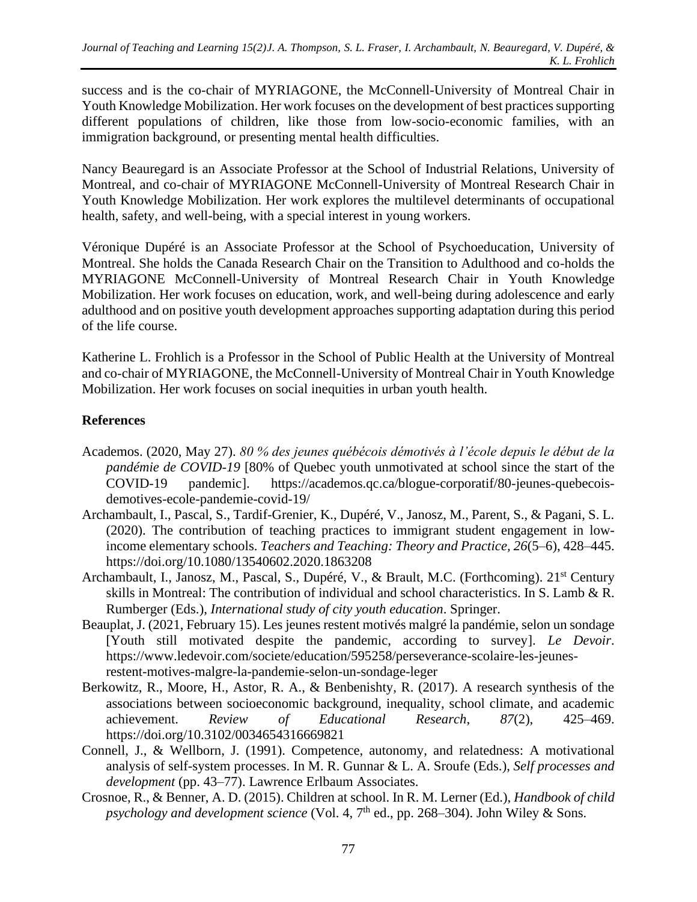success and is the co-chair of MYRIAGONE, the McConnell-University of Montreal Chair in Youth Knowledge Mobilization. Her work focuses on the development of best practices supporting different populations of children, like those from low-socio-economic families, with an immigration background, or presenting mental health difficulties.

Nancy Beauregard is an Associate Professor at the School of Industrial Relations, University of Montreal, and co-chair of MYRIAGONE McConnell-University of Montreal Research Chair in Youth Knowledge Mobilization. Her work explores the multilevel determinants of occupational health, safety, and well-being, with a special interest in young workers.

Véronique Dupéré is an Associate Professor at the School of Psychoeducation, University of Montreal. She holds the Canada Research Chair on the Transition to Adulthood and co-holds the MYRIAGONE McConnell-University of Montreal Research Chair in Youth Knowledge Mobilization. Her work focuses on education, work, and well-being during adolescence and early adulthood and on positive youth development approaches supporting adaptation during this period of the life course.

Katherine L. Frohlich is a Professor in the School of Public Health at the University of Montreal and co-chair of MYRIAGONE, the McConnell-University of Montreal Chair in Youth Knowledge Mobilization. Her work focuses on social inequities in urban youth health.

# **References**

- Academos. (2020, May 27). *80 % des jeunes québécois démotivés à l'école depuis le début de la pandémie de COVID-19* [80% of Quebec youth unmotivated at school since the start of the COVID-19 pandemic]. https://academos.qc.ca/blogue-corporatif/80-jeunes-quebecoisdemotives-ecole-pandemie-covid-19/
- Archambault, I., Pascal, S., Tardif-Grenier, K., Dupéré, V., Janosz, M., Parent, S., & Pagani, S. L. (2020). The contribution of teaching practices to immigrant student engagement in lowincome elementary schools. *Teachers and Teaching: Theory and Practice, 26*(5–6), 428–445. https://doi.org/10.1080/13540602.2020.1863208
- Archambault, I., Janosz, M., Pascal, S., Dupéré, V., & Brault, M.C. (Forthcoming). 21st Century skills in Montreal: The contribution of individual and school characteristics. In S. Lamb & R. Rumberger (Eds.), *International study of city youth education*. Springer.
- Beauplat, J. (2021, February 15). Les jeunes restent motivés malgré la pandémie, selon un sondage [Youth still motivated despite the pandemic, according to survey]. *Le Devoir*. https://www.ledevoir.com/societe/education/595258/perseverance-scolaire-les-jeunesrestent-motives-malgre-la-pandemie-selon-un-sondage-leger
- Berkowitz, R., Moore, H., Astor, R. A., & Benbenishty, R. (2017). A research synthesis of the associations between socioeconomic background, inequality, school climate, and academic achievement. *Review of Educational Research*, *87*(2), 425–469. https://doi.org/10.3102/0034654316669821
- Connell, J., & Wellborn, J. (1991). Competence, autonomy, and relatedness: A motivational analysis of self-system processes. In M. R. Gunnar & L. A. Sroufe (Eds.), *Self processes and development* (pp. 43–77). Lawrence Erlbaum Associates.
- Crosnoe, R., & Benner, A. D. (2015). Children at school. In R. M. Lerner (Ed.), *Handbook of child*  psychology and development science (Vol. 4, 7<sup>th</sup> ed., pp. 268–304). John Wiley & Sons.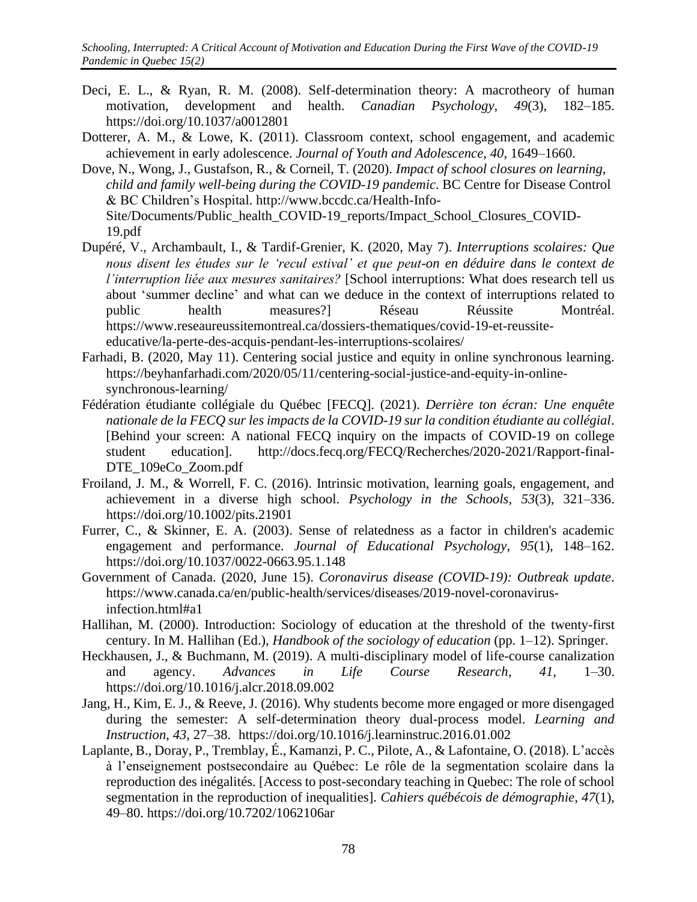- Deci, E. L., & Ryan, R. M. (2008). Self-determination theory: A macrotheory of human motivation, development and health. *Canadian Psychology*, *49*(3), 182–185. https://doi.org/10.1037/a0012801
- Dotterer, A. M., & Lowe, K. (2011). Classroom context, school engagement, and academic achievement in early adolescence. *Journal of Youth and Adolescence*, *40*, 1649–1660.
- Dove, N., Wong, J., Gustafson, R., & Corneil, T. (2020). *Impact of school closures on learning, child and family well-being during the COVID-19 pandemic*. BC Centre for Disease Control & BC Children's Hospital. http://www.bccdc.ca/Health-Info-Site/Documents/Public\_health\_COVID-19\_reports/Impact\_School\_Closures\_COVID-19.pdf
- Dupéré, V., Archambault, I., & Tardif-Grenier, K. (2020, May 7). *Interruptions scolaires: Que nous disent les études sur le 'recul estival' et que peut-on en déduire dans le context de l'interruption liée aux mesures sanitaires?* [School interruptions: What does research tell us about 'summer decline' and what can we deduce in the context of interruptions related to public health measures?] Réseau Réussite Montréal. https://www.reseaureussitemontreal.ca/dossiers-thematiques/covid-19-et-reussiteeducative/la-perte-des-acquis-pendant-les-interruptions-scolaires/
- Farhadi, B. (2020, May 11). Centering social justice and equity in online synchronous learning. [https://beyhanfarhadi.com/2020/05/11/centering-social-justice-and-equity-in-online](about:blank)[synchronous-learning/](about:blank)
- Fédération étudiante collégiale du Québec [FECQ]. (2021). *Derrière ton écran: Une enquête nationale de la FECQ sur les impacts de la COVID-19 sur la condition étudiante au collégial*. [Behind your screen: A national FECQ inquiry on the impacts of COVID-19 on college student education]. http://docs.fecq.org/FECQ/Recherches/2020-2021/Rapport-final-DTE\_109eCo\_Zoom.pdf
- Froiland, J. M., & Worrell, F. C. (2016). Intrinsic motivation, learning goals, engagement, and achievement in a diverse high school. *Psychology in the Schools*, *53*(3), 321–336. https://doi.org/10.1002/pits.21901
- Furrer, C., & Skinner, E. A. (2003). Sense of relatedness as a factor in children's academic engagement and performance. *Journal of Educational Psychology*, *95*(1), 148–162. https://doi.org/10.1037/0022-0663.95.1.148
- Government of Canada. (2020, June 15). *Coronavirus disease (COVID-19): Outbreak update*. https://www.canada.ca/en/public-health/services/diseases/2019-novel-coronavirusinfection.html#a1
- Hallihan, M. (2000). Introduction: Sociology of education at the threshold of the twenty-first century. In M. Hallihan (Ed.), *Handbook of the sociology of education* (pp. 1–12). Springer.
- Heckhausen, J., & Buchmann, M. (2019). A multi-disciplinary model of life-course canalization and agency. *Advances in Life Course Research*, *41*, 1–30. https://doi.org/10.1016/j.alcr.2018.09.002
- Jang, H., Kim, E. J., & Reeve, J. (2016). Why students become more engaged or more disengaged during the semester: A self-determination theory dual-process model. *Learning and Instruction*, *43*, 27–38. https://doi.org/10.1016/j.learninstruc.2016.01.002
- Laplante, B., Doray, P., Tremblay, É., Kamanzi, P. C., Pilote, A., & Lafontaine, O. (2018). L'accès à l'enseignement postsecondaire au Québec: Le rôle de la segmentation scolaire dans la reproduction des inégalités. [Access to post-secondary teaching in Quebec: The role of school segmentation in the reproduction of inequalities]. *Cahiers québécois de démographie, 47*(1), 49–80. https://doi.org[/10.7202/1062106ar](about:blank)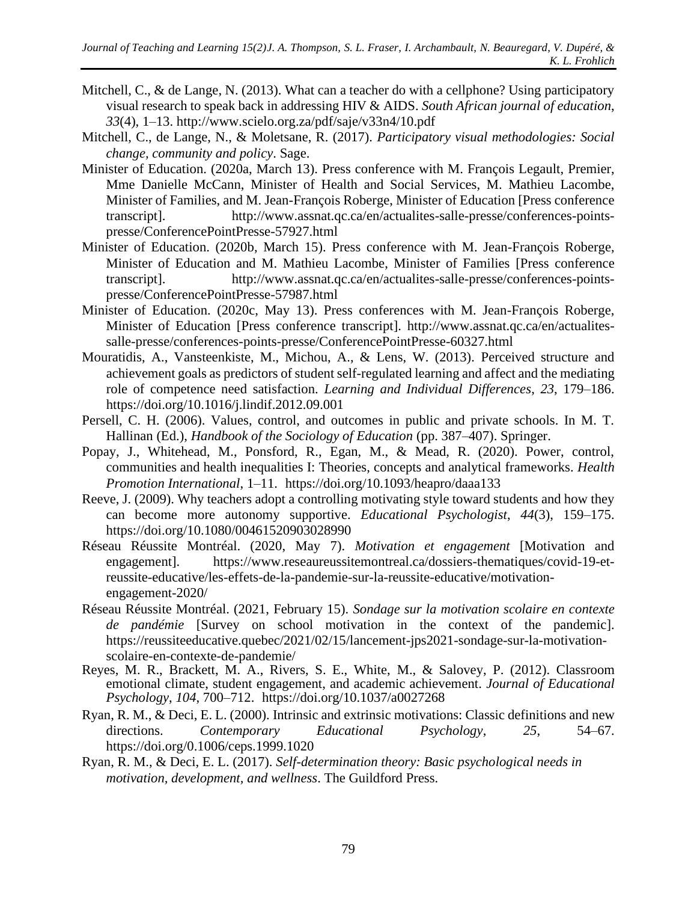- Mitchell, C., & de Lange, N. (2013). What can a teacher do with a cellphone? Using participatory visual research to speak back in addressing HIV & AIDS. *South African journal of education*, *33*(4), 1–13. http://www.scielo.org.za/pdf/saje/v33n4/10.pdf
- Mitchell, C., de Lange, N., & Moletsane, R. (2017). *Participatory visual methodologies: Social change, community and policy*. Sage.
- Minister of Education. (2020a, March 13). Press conference with M. François Legault, Premier, Mme Danielle McCann, Minister of Health and Social Services, M. Mathieu Lacombe, Minister of Families, and M. Jean-François Roberge, Minister of Education [Press conference transcript]. http://www.assnat.qc.ca/en/actualites-salle-presse/conferences-pointspresse/ConferencePointPresse-57927.html
- Minister of Education. (2020b, March 15). Press conference with M. Jean-François Roberge, Minister of Education and M. Mathieu Lacombe, Minister of Families [Press conference transcript]. http://www.assnat.qc.ca/en/actualites-salle-presse/conferences-pointspresse/ConferencePointPresse-57987.html
- Minister of Education. (2020c, May 13). Press conferences with M. Jean-François Roberge, Minister of Education [Press conference transcript]. http://www.assnat.qc.ca/en/actualitessalle-presse/conferences-points-presse/ConferencePointPresse-60327.html
- Mouratidis, A., Vansteenkiste, M., Michou, A., & Lens, W. (2013). Perceived structure and achievement goals as predictors of student self-regulated learning and affect and the mediating role of competence need satisfaction. *Learning and Individual Differences*, *23*, 179–186. https://doi.org/10.1016/j.lindif.2012.09.001
- Persell, C. H. (2006). Values, control, and outcomes in public and private schools. In M. T. Hallinan (Ed.), *Handbook of the Sociology of Education* (pp. 387–407). Springer.
- Popay, J., Whitehead, M., Ponsford, R., Egan, M., & Mead, R. (2020). Power, control, communities and health inequalities I: Theories, concepts and analytical frameworks. *Health Promotion International*, 1–11. https://doi.org/10.1093/heapro/daaa133
- Reeve, J. (2009). Why teachers adopt a controlling motivating style toward students and how they can become more autonomy supportive. *Educational Psychologist*, *44*(3), 159–175. https://doi.org/10.1080/00461520903028990
- Réseau Réussite Montréal. (2020, May 7). *Motivation et engagement* [Motivation and engagement]. https://www.reseaureussitemontreal.ca/dossiers-thematiques/covid-19-etreussite-educative/les-effets-de-la-pandemie-sur-la-reussite-educative/motivationengagement-2020/
- Réseau Réussite Montréal. (2021, February 15). *Sondage sur la motivation scolaire en contexte de pandémie* [Survey on school motivation in the context of the pandemic]. https://reussiteeducative.quebec/2021/02/15/lancement-jps2021-sondage-sur-la-motivationscolaire-en-contexte-de-pandemie/
- Reyes, M. R., Brackett, M. A., Rivers, S. E., White, M., & Salovey, P. (2012). Classroom emotional climate, student engagement, and academic achievement. *Journal of Educational Psychology*, *104*, 700–712. https://doi.org/10.1037/a0027268
- Ryan, R. M., & Deci, E. L. (2000). Intrinsic and extrinsic motivations: Classic definitions and new directions. *Contemporary Educational Psychology*, *25*, 54–67. https://doi.org/0.1006/ceps.1999.1020
- Ryan, R. M., & Deci, E. L. (2017). *Self-determination theory: Basic psychological needs in motivation, development, and wellness*. The Guildford Press.